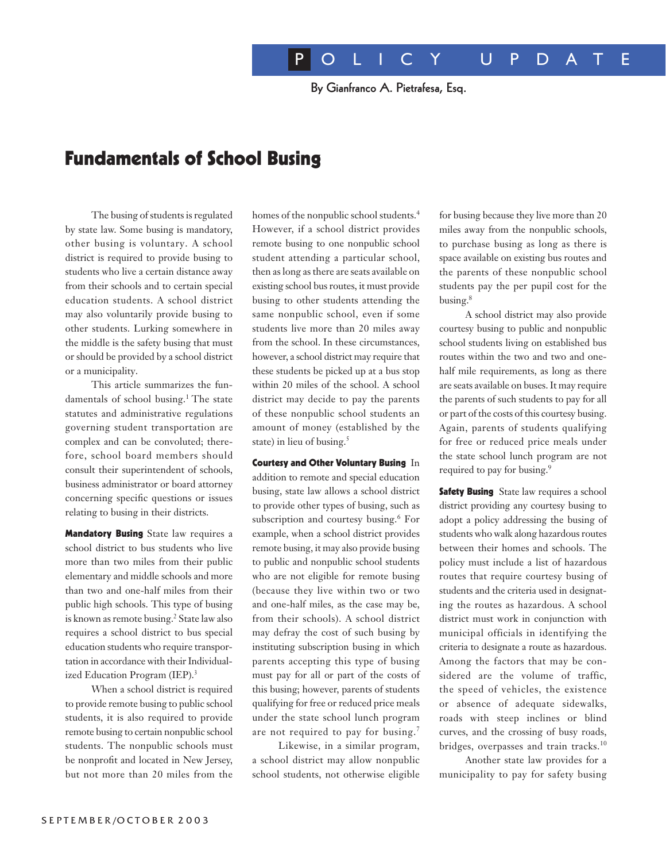By Gianfranco A. Pietrafesa, Esq.

# Fundamentals of School Busing

The busing of students is regulated by state law. Some busing is mandatory, other busing is voluntary. A school district is required to provide busing to students who live a certain distance away from their schools and to certain special education students. A school district may also voluntarily provide busing to other students. Lurking somewhere in the middle is the safety busing that must or should be provided by a school district or a municipality.

This article summarizes the fundamentals of school busing.<sup>1</sup> The state statutes and administrative regulations governing student transportation are complex and can be convoluted; therefore, school board members should consult their superintendent of schools, business administrator or board attorney concerning specific questions or issues relating to busing in their districts.

**Mandatory Busing** State law requires a school district to bus students who live more than two miles from their public elementary and middle schools and more than two and one-half miles from their public high schools. This type of busing is known as remote busing.<sup>2</sup> State law also requires a school district to bus special education students who require transportation in accordance with their Individualized Education Program (IEP).<sup>3</sup>

When a school district is required to provide remote busing to public school students, it is also required to provide remote busing to certain nonpublic school students. The nonpublic schools must be nonprofit and located in New Jersey, but not more than 20 miles from the

homes of the nonpublic school students.<sup>4</sup> However, if a school district provides remote busing to one nonpublic school student attending a particular school, then as long as there are seats available on existing school bus routes, it must provide busing to other students attending the same nonpublic school, even if some students live more than 20 miles away from the school. In these circumstances, however, a school district may require that these students be picked up at a bus stop within 20 miles of the school. A school district may decide to pay the parents of these nonpublic school students an amount of money (established by the state) in lieu of busing.<sup>5</sup>

Courtesy and Other Voluntary Busing In addition to remote and special education busing, state law allows a school district to provide other types of busing, such as subscription and courtesy busing.<sup>6</sup> For example, when a school district provides remote busing, it may also provide busing to public and nonpublic school students who are not eligible for remote busing (because they live within two or two and one-half miles, as the case may be, from their schools). A school district may defray the cost of such busing by instituting subscription busing in which parents accepting this type of busing must pay for all or part of the costs of this busing; however, parents of students qualifying for free or reduced price meals under the state school lunch program are not required to pay for busing.<sup>7</sup>

Likewise, in a similar program, a school district may allow nonpublic school students, not otherwise eligible for busing because they live more than 20 miles away from the nonpublic schools, to purchase busing as long as there is space available on existing bus routes and the parents of these nonpublic school students pay the per pupil cost for the busing.8

A school district may also provide courtesy busing to public and nonpublic school students living on established bus routes within the two and two and onehalf mile requirements, as long as there are seats available on buses. It may require the parents of such students to pay for all or part of the costs of this courtesy busing. Again, parents of students qualifying for free or reduced price meals under the state school lunch program are not required to pay for busing.<sup>9</sup>

**Safety Busing** State law requires a school district providing any courtesy busing to adopt a policy addressing the busing of students who walk along hazardous routes between their homes and schools. The policy must include a list of hazardous routes that require courtesy busing of students and the criteria used in designating the routes as hazardous. A school district must work in conjunction with municipal officials in identifying the criteria to designate a route as hazardous. Among the factors that may be considered are the volume of traffic, the speed of vehicles, the existence or absence of adequate sidewalks, roads with steep inclines or blind curves, and the crossing of busy roads, bridges, overpasses and train tracks.<sup>10</sup>

Another state law provides for a municipality to pay for safety busing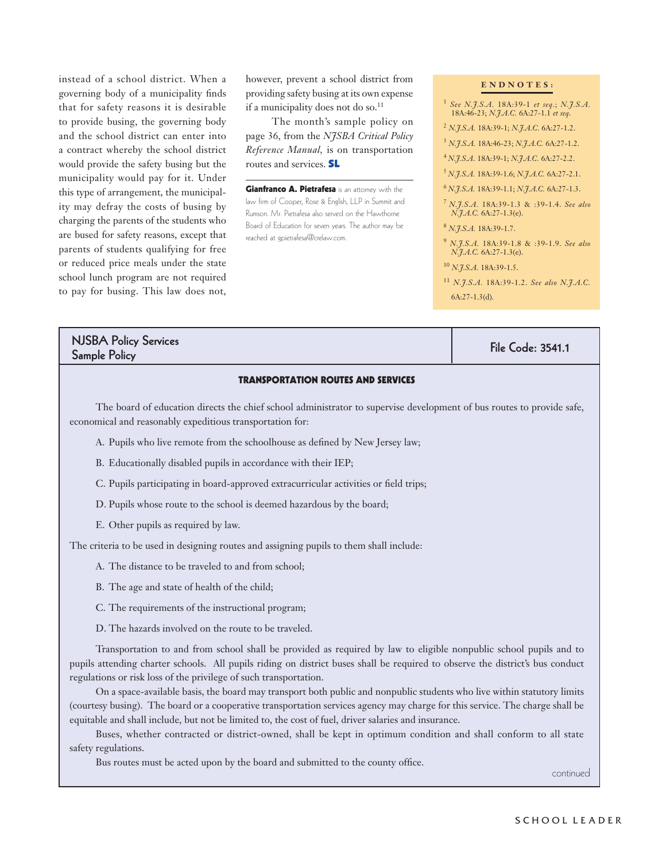instead of a school district. When a governing body of a municipality finds that for safety reasons it is desirable to provide busing, the governing body and the school district can enter into a contract whereby the school district would provide the safety busing but the municipality would pay for it. Under this type of arrangement, the municipality may defray the costs of busing by charging the parents of the students who are bused for safety reasons, except that parents of students qualifying for free or reduced price meals under the state school lunch program are not required to pay for busing. This law does not,

however, prevent a school district from providing safety busing at its own expense if a municipality does not do so.<sup>11</sup>

The month's sample policy on page 36, from the *NJSBA Critical Policy Reference Manual,* is on transportation routes and services. SL

**Gianfranco A. Pietrafesa** is an attorney with the law firm of Cooper, Rose & English, LLP in Summit and Rumson. Mr. Pietrafesa also served on the Hawthorne Board of Education for seven years. The author may be reached at gpietrafesa@crelaw.com.

### **E N D N O T E S :**

- <sup>1</sup> *See N.J.S.A.* 18A:39-1 *et seq.*; *N.J.S.A.* 18A:46-23; *N.J.A.C.* 6A:27-1.1 *et seq*.
- <sup>2</sup> *N.J.S.A.* 18A:39-1; *N.J.A.C.* 6A:27-1.2.
- <sup>3</sup> *N.J.S.A.* 18A:46-23; *N.J.A.C.* 6A:27-1.2.
- <sup>4</sup>*N.J.S.A*. 18A:39-1; *N.J.A.C.* 6A:27-2.2. <sup>5</sup>*N.J.S.A.* 18A:39-1.6; *N.J.A.C.* 6A:27-2.1.
- <sup>6</sup>*N.J.S.A.* 18A:39-1.1; *N.J.A.C.* 6A:27-1.3.
- <sup>7</sup>*N.J.S.A.* 18A:39-1.3 & :39-1.4. *See also N.H.A.C.* 6A:27-1.3(e).
- <sup>8</sup> *N.J.S.A.* 18A:39-1.7.
- <sup>9</sup> *N.J.S.A.* 18A:39-1.8 & :39-1.9. *See also N.J.A.C.* 6A:27-1.3(e).
- <sup>10</sup> *N.J.S.A.* 18A:39-1.5.
- <sup>11</sup> *N.J.S.A.* 18A:39-1.2. *See also N.J.A.C.* 6A:27-1.3(d).

## NJSBA Policy Services Sample Policy Schnees (1995) (1995) (1995) (1995) (1996) (1995) (1996) (1996) (1996) (1996) (1996) (1997) (199<br>Sample Policy (1997) (1997) (1998) (1999) (1999) (1999) (1999) (1999) (1999) (1999) (1999) (1999) (1999) (199

### TRANSPORTATION ROUTES AND SERVICES

The board of education directs the chief school administrator to supervise development of bus routes to provide safe, economical and reasonably expeditious transportation for:

- A. Pupils who live remote from the schoolhouse as defined by New Jersey law;
- B. Educationally disabled pupils in accordance with their IEP;
- C. Pupils participating in board-approved extracurricular activities or field trips;
- D. Pupils whose route to the school is deemed hazardous by the board;
- E. Other pupils as required by law.

The criteria to be used in designing routes and assigning pupils to them shall include:

- A. The distance to be traveled to and from school;
- B. The age and state of health of the child;
- C. The requirements of the instructional program;
- D. The hazards involved on the route to be traveled.

Transportation to and from school shall be provided as required by law to eligible nonpublic school pupils and to pupils attending charter schools. All pupils riding on district buses shall be required to observe the district's bus conduct regulations or risk loss of the privilege of such transportation.

On a space-available basis, the board may transport both public and nonpublic students who live within statutory limits (courtesy busing). The board or a cooperative transportation services agency may charge for this service. The charge shall be equitable and shall include, but not be limited to, the cost of fuel, driver salaries and insurance.

Buses, whether contracted or district-owned, shall be kept in optimum condition and shall conform to all state safety regulations.

Bus routes must be acted upon by the board and submitted to the county office.

continued